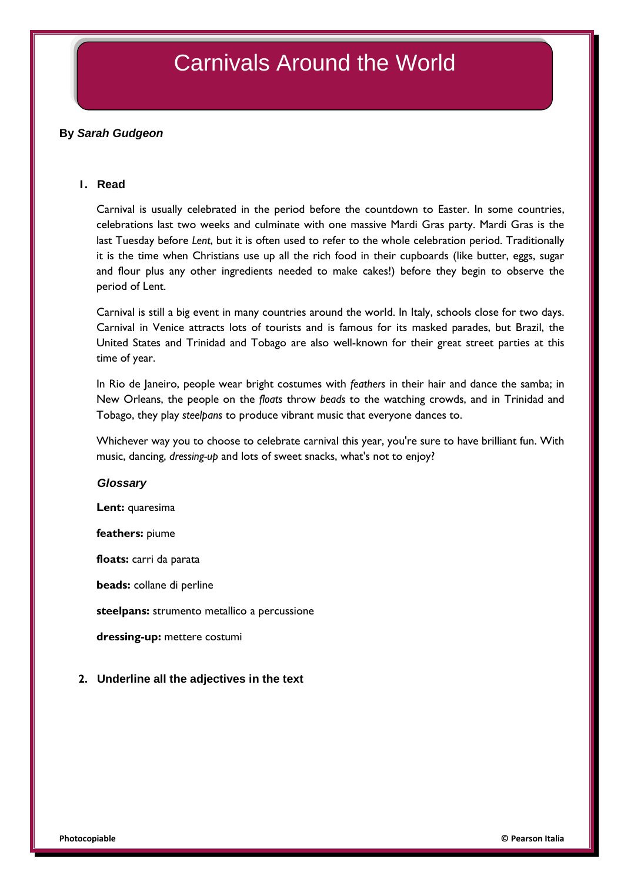# Carnivals Around the World

# **By** *Sarah Gudgeon*

#### **1. Read**

Carnival is usually celebrated in the period before the countdown to Easter. In some countries, celebrations last two weeks and culminate with one massive Mardi Gras party. Mardi Gras is the last Tuesday before *Lent*, but it is often used to refer to the whole celebration period. Traditionally it is the time when Christians use up all the rich food in their cupboards (like butter, eggs, sugar and flour plus any other ingredients needed to make cakes!) before they begin to observe the period of Lent.

Carnival is still a big event in many countries around the world. In Italy, schools close for two days. Carnival in Venice attracts lots of tourists and is famous for its masked parades, but Brazil, the United States and Trinidad and Tobago are also well-known for their great street parties at this time of year.

In Rio de Janeiro, people wear bright costumes with *feathers* in their hair and dance the samba; in New Orleans, the people on the *floats* throw *beads* to the watching crowds, and in Trinidad and Tobago, they play *steelpans* to produce vibrant music that everyone dances to.

Whichever way you to choose to celebrate carnival this year, you're sure to have brilliant fun. With music, dancing, *dressing-up* and lots of sweet snacks, what's not to enjoy?

#### *Glossary*

**Lent:** quaresima

#### **feathers:** piume

**floats:** carri da parata

**beads:** collane di perline

**steelpans:** strumento metallico a percussione

**dressing-up:** mettere costumi

## **2. Underline all the adjectives in the text**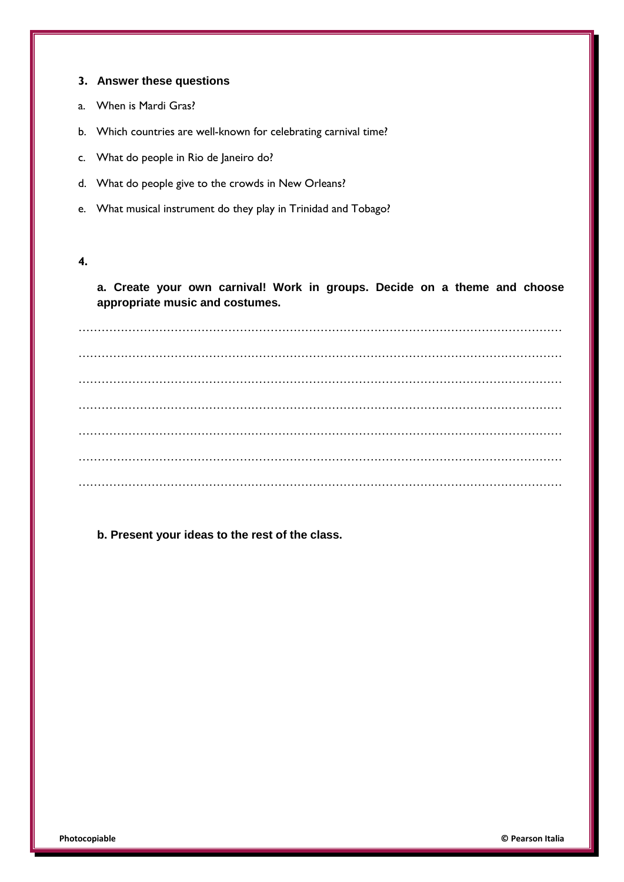### **3. Answer these questions**

- a. When is Mardi Gras?
- b. Which countries are well-known for celebrating carnival time?
- c. What do people in Rio de Janeiro do?
- d. What do people give to the crowds in New Orleans?
- e. What musical instrument do they play in Trinidad and Tobago?

## **4.**

**a. Create your own carnival! Work in groups. Decide on a theme and choose appropriate music and costumes.**

………………………………………………………………………………………………………………  $\mathcal{L}^{\text{max}}_{\text{max}}$ ……………………………………………………………………………………………………………… ……………………………………………………………………………………………………………… ……………………………………………………………………………………………………………… ……………………………………………………………………………………………………………… ………………………………………………………………………………………………………………

## **b. Present your ideas to the rest of the class.**